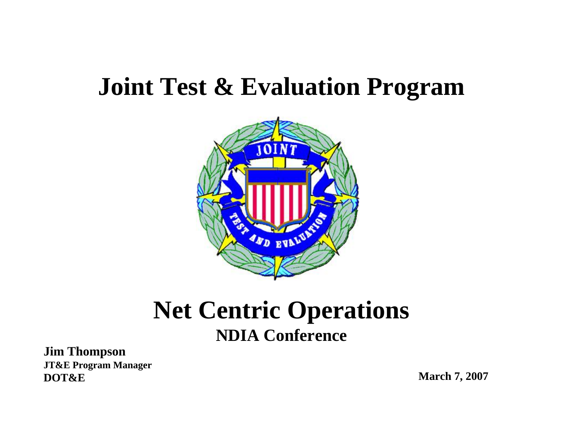## **Joint Test & Evaluation Program**



### **Net Centric Operations NDIA Conference**

**Jim Thompson JT&E Program Manager DOT&E**

**March 7, 2007**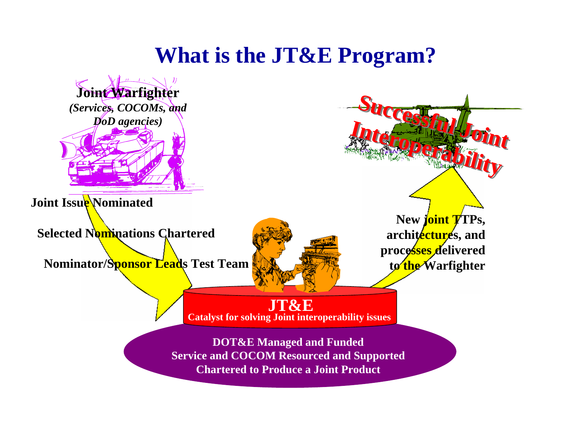### **What is the JT&E Program?**

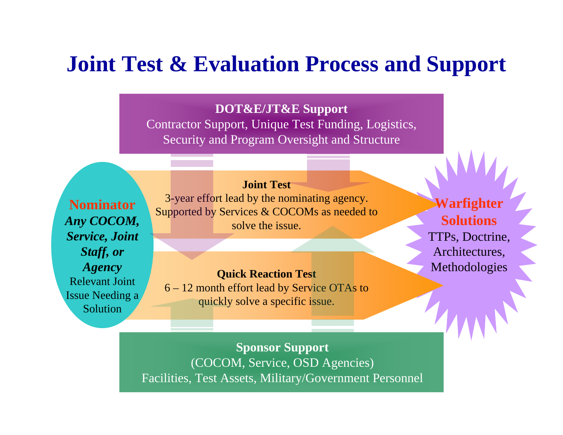### **Joint Test & Evaluation Process and Support**

#### **DOT&E/JT&E Support**

Contractor Support, Unique Test Funding, Logistics, Security and Program Oversight and Structure

**Nominator***Any COCOM, Service, Joint Staff, or Agency* Relevant Joint Issue Needing a Solution

**Joint Test**

3-year effort lead by the nominating agency. Supported by Services & COCOMs as needed to solve the issue.

**Quick Reaction Test**

6 – 12 month effort lead by Service OTAs to quickly solve a specific issue.

**Warfighter Solutions**TTPs, Doctrine, Architectures, **Methodologies** 

**Sponsor Support** (COCOM, Service, OSD Agencies) Facilities, Test Assets, Military/Government Personnel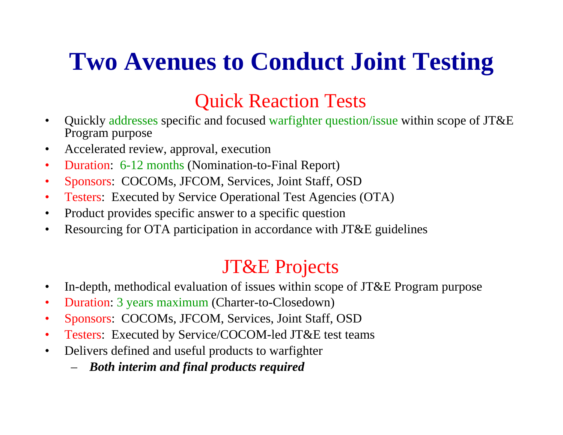# **Two Avenues to Conduct Joint Testing**

### Quick Reaction Tests

- • Quickly addresses specific and focused warfighter question/issue within scope of JT&E Program purpose
- •Accelerated review, approval, execution
- $\bullet$ Duration: 6-12 months (Nomination-to-Final Report)
- •Sponsors: COCOMs, JFCOM, Services, Joint Staff, OSD
- •Testers: Executed by Service Operational Test Agencies (OTA)
- •Product provides specific answer to a specific question
- •Resourcing for OTA participation in accordance with JT&E guidelines

### JT&E Projects

- •In-depth, methodical evaluation of issues within scope of JT&E Program purpose
- •Duration: 3 years maximum (Charter-to-Closedown)
- •Sponsors: COCOMs, JFCOM, Services, Joint Staff, OSD
- •Testers: Executed by Service/COCOM-led JT&E test teams
- $\bullet$  Delivers defined and useful products to warfighter
	- *Both interim and final products required*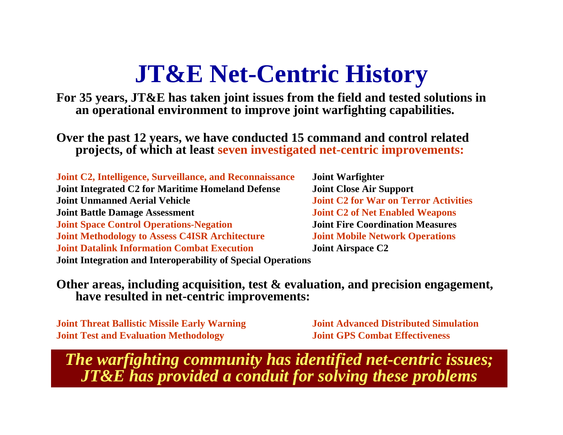## **JT&E Net-Centric History**

**For 35 years, JT&E has taken joint issues from the field and tested solutions in an operational environment to improve joint warfighting capabilities.**

**Over the past 12 years, we have conducted 15 command and control related projects, of which at least seven investigated net-centric improvements:**

**Joint C2, Intelligence, Surveillance, and Reconnaissance Joint Warfighter Joint Integrated C2 for Maritime Homeland Defense Joint Close Air Support Joint Unmanned Aerial Vehicle 1996 1996 1997 1998 Joint C2 for War on Terror Activities Joint Battle Damage Assessment Joint C2 of Net Enabled Weapons Joint Space Control Operations-Negation Joint Fire Coordination Measures Joint Methodology to Asses Joint Datalink Information Combat ExecutionJoint Integration and Interoperability of Special Operations**

**Joint Mobile Network Operations Joint Airspace C2**

**Other areas, including acquisition, test & evaluation, and precision engagement, have resulted in net-centric improvements:**

**Joint Threat Ballistic Missile Early Warning Joint Advanced Distributed Simulation Joint Test and Evaluation Methodolog**

**y Joint GPS Combat Effectiveness**

*The warfighting community has identified net-centric issues; JT&E has provided a conduit for solving these problems*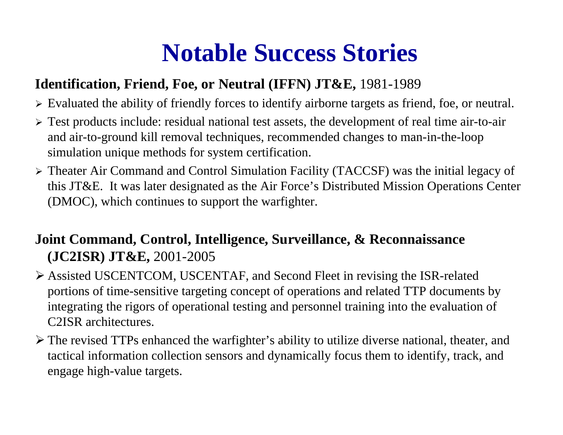## **Notable Success Stories**

#### **Identification, Friend, Foe, or Neutral (IFFN) JT&E,** 1981-1989

- ¾ Evaluated the ability of friendly forces to identify airborne targets as friend, foe, or neutral.
- ¾ Test products include: residual national test assets, the development of real time air-to-air and air-to-ground kill removal techniques, recommended changes to man-in-the-loop simulation unique methods for system certification.
- ¾ Theater Air Command and Control Simulation Facility (TACCSF) was the initial legacy of this JT&E. It was later designated as the Air Force's Distributed Mission Operations Center (DMOC), which continues to support the warfighter.

#### **Joint Command, Control, Intelligence, Surveillance, & Reconnaissance (JC2ISR) JT&E,** 2001-2005

- ¾ Assisted USCENTCOM, USCENTAF, and Second Fleet in revising the ISR-related portions of time-sensitive targeting concept of operations and related TTP documents by integrating the rigors of operational testing and personnel training into the evaluation of C2ISR architectures.
- ¾ The revised TTPs enhanced the warfighter's ability to utilize diverse national, theater, and tactical information collection sensors and dynamically focus them to identify, track, and engage high-value targets.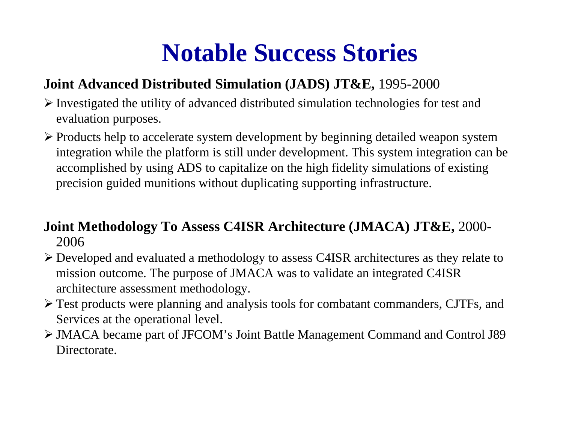## **Notable Success Stories**

#### **Joint Advanced Distributed Simulation (JADS) JT&E,** 1995-2000

- $\triangleright$  Investigated the utility of advanced distributed simulation technologies for test and evaluation purposes.
- ¾ Products help to accelerate system development by beginning detailed weapon system integration while the platform is still under development. This system integration can be accomplished by using ADS to capitalize on the high fidelity simulations of existing precision guided munitions without duplicating supporting infrastructure.

#### **Joint Methodology To Assess C4ISR Architecture (JMACA) JT&E,** 2000- 2006

- ¾ Developed and evaluated a methodology to assess C4ISR architectures as they relate to mission outcome. The purpose of JMACA was to validate an integrated C4ISR architecture assessment methodology.
- ¾ Test products were planning and analysis tools for combatant commanders, CJTFs, and Services at the operational level.
- ¾ JMACA became part of JFCOM's Joint Battle Management Command and Control J89 Directorate.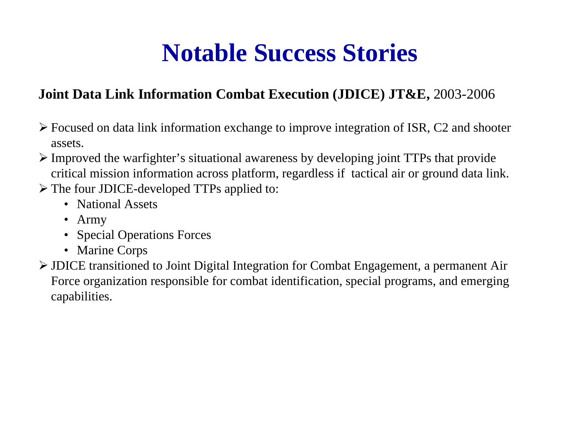## **Notable Success Stories**

#### **Joint Data Link Information Combat Execution (JDICE) JT&E,** 2003-2006

- ¾ Focused on data link information exchange to improve integration of ISR, C2 and shooter assets.
- ¾ Improved the warfighter's situational awareness by developing joint TTPs that provide critical mission information across platform, regardless if tactical air or ground data link.
- ¾ The four JDICE-developed TTPs applied to:
	- National Assets
	- Army
	- Special Operations Forces
	- Marine Corps
- ¾ JDICE transitioned to Joint Digital Integration for Combat Engagement, a permanent Air Force organization responsible for combat identification, special programs, and emerging capabilities.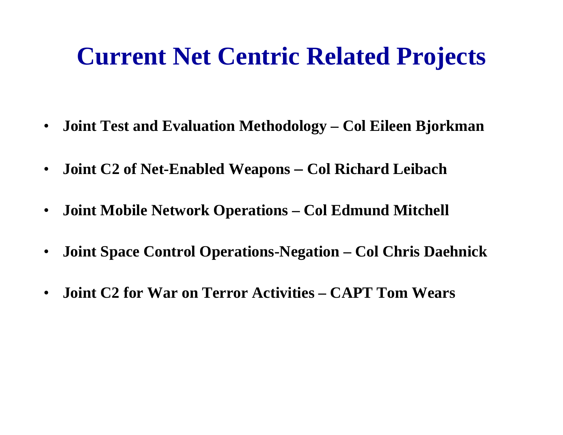## **Current Net Centric Related Projects**

- $\bullet$ **Joint Test and Evaluation Methodology – Col Eileen Bjorkman**
- $\bullet$  **Joint C2 of Net-Enabled Weapons – Col Richard Leibach**
- $\bullet$ **Joint Mobile Network Operations – Col Edmund Mitchell**
- $\bullet$ **Joint Space Control Operations-Negation – Col Chris Daehnick**
- $\bullet$ **Joint C2 for War on Terror Activities – CAPT Tom Wears**